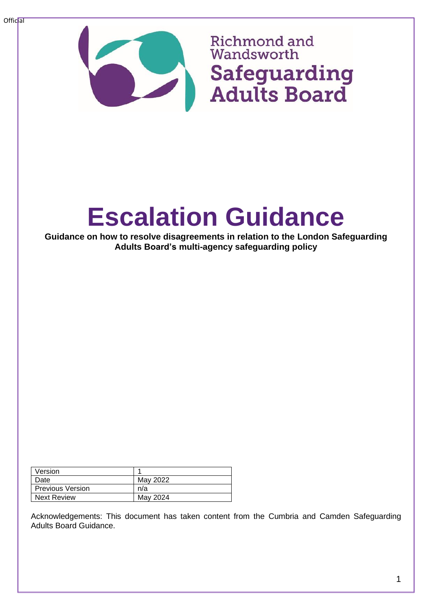

## **Richmond and** Wandsworth Safeguarding **Adults Board**

# **Escalation Guidance**

**Guidance on how to resolve disagreements in relation to the London Safeguarding Adults Board's multi-agency safeguarding policy**

| Version                 |          |
|-------------------------|----------|
| Date                    | May 2022 |
| <b>Previous Version</b> | n/a      |
| <b>Next Review</b>      | May 2024 |

Acknowledgements: This document has taken content from the Cumbria and Camden Safeguarding Adults Board Guidance.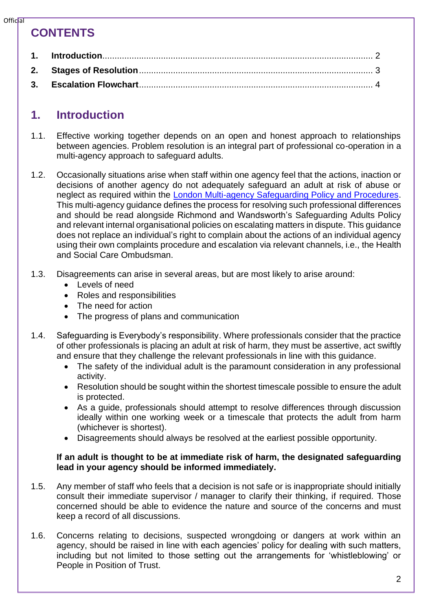#### $Offic$ al

## **CONTENTS**

## <span id="page-1-0"></span>**1. Introduction**

- 1.1. Effective working together depends on an open and honest approach to relationships between agencies. Problem resolution is an integral part of professional co-operation in a multi-agency approach to safeguard adults.
- 1.2. Occasionally situations arise when staff within one agency feel that the actions, inaction or decisions of another agency do not adequately safeguard an adult at risk of abuse or neglect as required within the [London Multi-agency Safeguarding Policy and Procedures.](https://www.sabrichmondandwandsworth.org.uk/media/1351/safeguarding_london_multi_agency_policy_and_procedures.pdf) This multi-agency guidance defines the process for resolving such professional differences and should be read alongside Richmond and Wandsworth's Safeguarding Adults Policy and relevant internal organisational policies on escalating matters in dispute. This guidance does not replace an individual's right to complain about the actions of an individual agency using their own complaints procedure and escalation via relevant channels, i.e., the Health and Social Care Ombudsman.
- 1.3. Disagreements can arise in several areas, but are most likely to arise around:
	- Levels of need
	- Roles and responsibilities
	- The need for action
	- The progress of plans and communication
- 1.4. Safeguarding is Everybody's responsibility. Where professionals consider that the practice of other professionals is placing an adult at risk of harm, they must be assertive, act swiftly and ensure that they challenge the relevant professionals in line with this guidance.
	- The safety of the individual adult is the paramount consideration in any professional activity.
	- Resolution should be sought within the shortest timescale possible to ensure the adult is protected.
	- As a guide, professionals should attempt to resolve differences through discussion ideally within one working week or a timescale that protects the adult from harm (whichever is shortest).
	- Disagreements should always be resolved at the earliest possible opportunity.

#### **If an adult is thought to be at immediate risk of harm, the designated safeguarding lead in your agency should be informed immediately.**

- 1.5. Any member of staff who feels that a decision is not safe or is inappropriate should initially consult their immediate supervisor / manager to clarify their thinking, if required. Those concerned should be able to evidence the nature and source of the concerns and must keep a record of all discussions.
- 1.6. Concerns relating to decisions, suspected wrongdoing or dangers at work within an agency, should be raised in line with each agencies' policy for dealing with such matters, including but not limited to those setting out the arrangements for 'whistleblowing' or People in Position of Trust.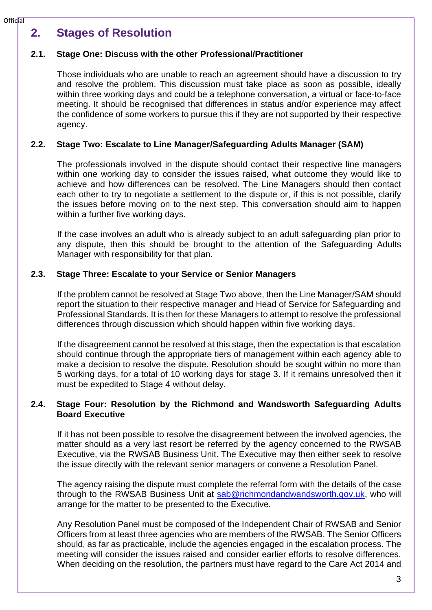## <span id="page-2-0"></span>**2. Stages of Resolution**

## **2.1. Stage One: Discuss with the other Professional/Practitioner**

Those individuals who are unable to reach an agreement should have a discussion to try and resolve the problem. This discussion must take place as soon as possible, ideally within three working days and could be a telephone conversation, a virtual or face-to-face meeting. It should be recognised that differences in status and/or experience may affect the confidence of some workers to pursue this if they are not supported by their respective agency.

## **2.2. Stage Two: Escalate to Line Manager/Safeguarding Adults Manager (SAM)**

The professionals involved in the dispute should contact their respective line managers within one working day to consider the issues raised, what outcome they would like to achieve and how differences can be resolved. The Line Managers should then contact each other to try to negotiate a settlement to the dispute or, if this is not possible, clarify the issues before moving on to the next step. This conversation should aim to happen within a further five working days.

If the case involves an adult who is already subject to an adult safeguarding plan prior to any dispute, then this should be brought to the attention of the Safeguarding Adults Manager with responsibility for that plan.

## **2.3. Stage Three: Escalate to your Service or Senior Managers**

If the problem cannot be resolved at Stage Two above, then the Line Manager/SAM should report the situation to their respective manager and Head of Service for Safeguarding and Professional Standards. It is then for these Managers to attempt to resolve the professional differences through discussion which should happen within five working days.

If the disagreement cannot be resolved at this stage, then the expectation is that escalation should continue through the appropriate tiers of management within each agency able to make a decision to resolve the dispute. Resolution should be sought within no more than 5 working days, for a total of 10 working days for stage 3. If it remains unresolved then it must be expedited to Stage 4 without delay.

#### **2.4. Stage Four: Resolution by the Richmond and Wandsworth Safeguarding Adults Board Executive**

If it has not been possible to resolve the disagreement between the involved agencies, the matter should as a very last resort be referred by the agency concerned to the RWSAB Executive, via the RWSAB Business Unit. The Executive may then either seek to resolve the issue directly with the relevant senior managers or convene a Resolution Panel.

The agency raising the dispute must complete the referral form with the details of the case through to the RWSAB Business Unit at [sab@richmondandwandsworth.gov.uk,](mailto:sab@richmondandwandsworth.gov.uk) who will arrange for the matter to be presented to the Executive.

Any Resolution Panel must be composed of the Independent Chair of RWSAB and Senior Officers from at least three agencies who are members of the RWSAB. The Senior Officers should, as far as practicable, include the agencies engaged in the escalation process. The meeting will consider the issues raised and consider earlier efforts to resolve differences. When deciding on the resolution, the partners must have regard to the Care Act 2014 and